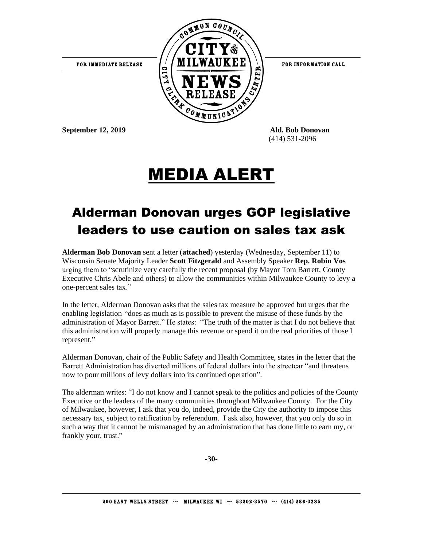

FOR INFORMATION CALL

**September 12, 2019 Ald. Bob Donovan**

(414) 531-2096

## MEDIA ALERT

## Alderman Donovan urges GOP legislative leaders to use caution on sales tax ask

**Alderman Bob Donovan** sent a letter (**attached**) yesterday (Wednesday, September 11) to Wisconsin Senate Majority Leader **Scott Fitzgerald** and Assembly Speaker **Rep. Robin Vos** urging them to "scrutinize very carefully the recent proposal (by Mayor Tom Barrett, County Executive Chris Abele and others) to allow the communities within Milwaukee County to levy a one-percent sales tax."

In the letter, Alderman Donovan asks that the sales tax measure be approved but urges that the enabling legislation "does as much as is possible to prevent the misuse of these funds by the administration of Mayor Barrett." He states: "The truth of the matter is that I do not believe that this administration will properly manage this revenue or spend it on the real priorities of those I represent."

Alderman Donovan, chair of the Public Safety and Health Committee, states in the letter that the Barrett Administration has diverted millions of federal dollars into the streetcar "and threatens now to pour millions of levy dollars into its continued operation".

The alderman writes: "I do not know and I cannot speak to the politics and policies of the County Executive or the leaders of the many communities throughout Milwaukee County. For the City of Milwaukee, however, I ask that you do, indeed, provide the City the authority to impose this necessary tax, subject to ratification by referendum. I ask also, however, that you only do so in such a way that it cannot be mismanaged by an administration that has done little to earn my, or frankly your, trust."

**-30-**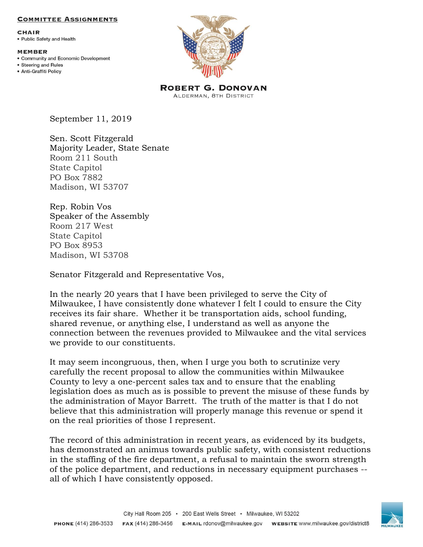## **COMMITTEE ASSIGNMENTS**

**CHAIR** • Public Safety and Health

## **MEMBER**

- Community and Economic Development
- Steering and Rules · Anti-Graffiti Policy



**ROBERT G. DONOVAN** ALDERMAN, 8TH DISTRICT

September 11, 2019

Sen. Scott Fitzgerald Majority Leader, State Senate Room 211 South State Capitol PO Box 7882 Madison, WI 53707

Rep. Robin Vos Speaker of the Assembly Room 217 West State Capitol PO Box 8953 Madison, WI 53708

Senator Fitzgerald and Representative Vos,

In the nearly 20 years that I have been privileged to serve the City of Milwaukee, I have consistently done whatever I felt I could to ensure the City receives its fair share. Whether it be transportation aids, school funding, shared revenue, or anything else, I understand as well as anyone the connection between the revenues provided to Milwaukee and the vital services we provide to our constituents.

It may seem incongruous, then, when I urge you both to scrutinize very carefully the recent proposal to allow the communities within Milwaukee County to levy a one-percent sales tax and to ensure that the enabling legislation does as much as is possible to prevent the misuse of these funds by the administration of Mayor Barrett. The truth of the matter is that I do not believe that this administration will properly manage this revenue or spend it on the real priorities of those I represent.

The record of this administration in recent years, as evidenced by its budgets, has demonstrated an animus towards public safety, with consistent reductions in the staffing of the fire department, a refusal to maintain the sworn strength of the police department, and reductions in necessary equipment purchases - all of which I have consistently opposed.